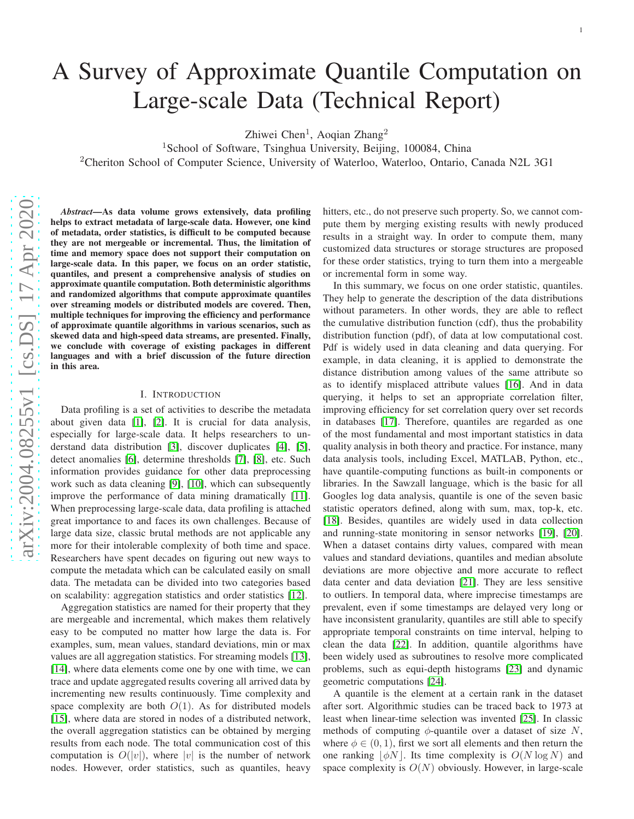# A Survey of Approximate Quantile Computation on Large-scale Data (Technical Report)

Zhiwei Chen<sup>1</sup>, Aoqian Zhang<sup>2</sup>

<sup>1</sup>School of Software, Tsinghua University, Beijing, 100084, China

<sup>2</sup>Cheriton School of Computer Science, University of Waterloo, Waterloo, Ontario, Canada N2L 3G1

*Abstract*—As data volume grows extensively, data profiling helps to extract metadata of large-scale data. However, one kind of metadata, order statistics, is difficult to be computed because they are not mergeable or incremental. Thus, the limitation of time and memory space does not support their computation on large-scale data. In this paper, we focus on an order statistic, quantiles, and present a comprehensive analysis of studies on approximate quantile computation. Both deterministic algorithms and randomized algorithms that compute approximate quantiles over streaming models or distributed models are covered. Then, multiple techniques for improving the efficiency and performance of approximate quantile algorithms in various scenarios, such as skewed data and high-speed data streams, are presented. Finally, we conclude with coverage of existing packages in different languages and with a brief discussion of the future directio n in this area.

#### I. INTRODUCTION

Data profiling is a set of activities to describe the metadata about given data [1], [2]. It is crucial for data analysis, especially for large-scale data. It helps researchers to un derstand data distribution [3], discover duplicates [4], [5], detect anomalies [6], determine thresholds [7], [8], etc. Such information provides guidance for other data preprocessin g work such as data cleaning [9], [10], which can subsequently improve the performance of data mining dramatically [11]. When preprocessing large-scale data, data profiling is attached great importance to and faces its own challenges. Because of large data size, classic brutal methods are not applicable any more for their intolerable complexity of both time and space . Researchers have spent decades on figuring out new ways to compute the metadata which can be calculated easily on small data. The metadata can be divided into two categories based on scalability: aggregation statistics and order statistics [12].

Aggregation statistics are named for their property that they are mergeable and incremental, which makes them relatively easy to be computed no matter how large the data is. For examples, sum, mean values, standard deviations, min or max values are all aggregation statistics. For streaming models [13], [14], where data elements come one by one with time, we can trace and update aggregated results covering all arrived data by incrementing new results continuously. Time complexity an d space complexity are both  $O(1)$ . As for distributed models [15], where data are stored in nodes of a distributed network, the overall aggregation statistics can be obtained by merging results from each node. The total communication cost of this computation is  $O(|v|)$ , where |v| is the number of network nodes. However, order statistics, such as quantiles, heavy

hitters, etc., do not preserve such property. So, we cannot compute them by merging existing results with newly produced results in a straight way. In order to compute them, many customized data structures or storage structures are proposed for these order statistics, trying to turn them into a mergeable or incremental form in some way.

In this summary, we focus on one order statistic, quantiles. They help to generate the description of the data distributions without parameters. In other words, they are able to reflect the cumulative distribution function (cdf), thus the probability distribution function (pdf), of data at low computational cost. Pdf is widely used in data cleaning and data querying. For example, in data cleaning, it is applied to demonstrate the distance distribution among values of the same attribute so as to identify misplaced attribute values [\[16\]](#page-10-0). And in data querying, it helps to set an appropriate correlation filter, improving efficiency for set correlation query over set records in databases [17]. Therefore, quantiles are regarded as one of the most fundamental and most important statistics in dat a quality analysis in both theory and practice. For instance, many data analysis tools, including Excel, MATLAB, Python, etc. , have quantile-computing functions as built-in components or libraries. In the Sawzall language, which is the basic for al l Googles log data analysis, quantile is one of the seven basic statistic operators defined, along with sum, max, top-k, etc . [18]. Besides, quantiles are widely used in data collection and running-state monitoring in sensor networks [19], [20] . When a dataset contains dirty values, compared with mean values and standard deviations, quantiles and median absolute deviations are more objective and more accurate to reflect data center and data deviation [\[21\]](#page-11-0). They are less sensitive to outliers. In temporal data, where imprecise timestamps are prevalent, even if some timestamps are delayed very long or have inconsistent granularity, quantiles are still able to specify appropriate temporal constraints on time interval, helping to clean the data [22]. In addition, quantile algorithms have been widely used as subroutines to resolve more complicated problems, such as equi-depth histograms [23] and dynamic geometric computations [24].

A quantile is the element at a certain rank in the dataset after sort. Algorithmic studies can be traced back to 1973 at least when linear-time selection was invented [25]. In classic methods of computing  $\phi$ -quantile over a dataset of size N, where  $\phi \in (0, 1)$ , first we sort all elements and then return the one ranking  $\lfloor \phi N \rfloor$ . Its time complexity is  $O(N \log N)$  and space complexity is  $O(N)$  obviously. However, in large-scale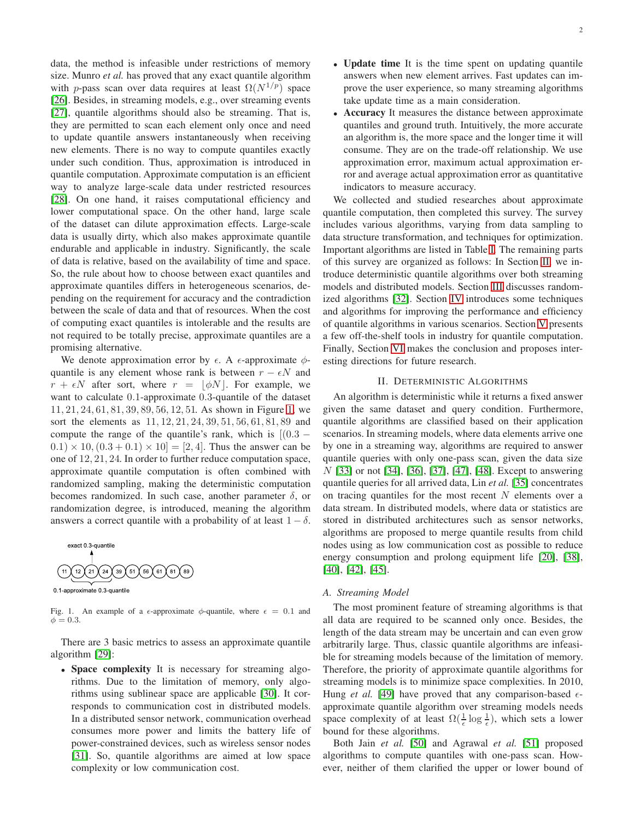data, the method is infeasible under restrictions of memory size. Munro *et al.* has proved that any exact quantile algorithm with p-pass scan over data requires at least  $\Omega(N^{1/p})$  space [26]. Besides, in streaming models, e.g., over streaming events [27], quantile algorithms should also be streaming. That is, they are permitted to scan each element only once and need to update quantile answers instantaneously when receiving new elements. There is no way to compute quantiles exactly under such condition. Thus, approximation is introduced in quantile computation. Approximate computation is an efficient way to analyze large-scale data under restricted resources [28]. On one hand, it raises computational efficiency and lower computational space. On the other hand, large scale of the dataset can dilute approximation effects. Large-scale data is usually dirty, which also makes approximate quantile endurable and applicable in industry. Significantly, the scale of data is relative, based on the availability of time and space. So, the rule about how to choose between exact quantiles and approximate quantiles differs in heterogeneous scenarios, depending on the requirement for accuracy and the contradiction between the scale of data and that of resources. When the cost of computing exact quantiles is intolerable and the results are not required to be totally precise, approximate quantiles are a promising alternative.

We denote approximation error by  $\epsilon$ . A  $\epsilon$ -approximate  $\phi$ quantile is any element whose rank is between  $r - \epsilon N$  and  $r + \epsilon N$  after sort, where  $r = |\phi N|$ . For example, we want to calculate 0.1-approximate 0.3-quantile of the dataset 11, 21, 24, 61, 81, 39, 89, 56, 12, 51. As shown in Figure [1,](#page-1-0) we sort the elements as 11, 12, 21, 24, 39, 51, 56, 61, 81, 89 and compute the range of the quantile's rank, which is  $[(0.3 (0.1) \times 10, (0.3 + 0.1) \times 10] = [2, 4]$ . Thus the answer can be one of 12, 21, 24. In order to further reduce computation space, approximate quantile computation is often combined with randomized sampling, making the deterministic computation becomes randomized. In such case, another parameter  $\delta$ , or randomization degree, is introduced, meaning the algorithm answers a correct quantile with a probability of at least  $1 - \delta$ .



<span id="page-1-0"></span> $\phi = 0.3$ .

Fig. 1. An example of a  $\epsilon$ -approximate  $\phi$ -quantile, where  $\epsilon = 0.1$  and

There are 3 basic metrics to assess an approximate quantile algorithm [29]:

• Space complexity It is necessary for streaming algorithms. Due to the limitation of memory, only algorithms using sublinear space are applicable [30]. It corresponds to communication cost in distributed models. In a distributed sensor network, communication overhead consumes more power and limits the battery life of power-constrained devices, such as wireless sensor nodes [31]. So, quantile algorithms are aimed at low space complexity or low communication cost.

- Update time It is the time spent on updating quantile answers when new element arrives. Fast updates can improve the user experience, so many streaming algorithms take update time as a main consideration.
- Accuracy It measures the distance between approximate quantiles and ground truth. Intuitively, the more accurate an algorithm is, the more space and the longer time it will consume. They are on the trade-off relationship. We use approximation error, maximum actual approximation error and average actual approximation error as quantitative indicators to measure accuracy.

We collected and studied researches about approximate quantile computation, then completed this survey. The survey includes various algorithms, varying from data sampling to data structure transformation, and techniques for optimization. Important algorithms are listed in Table [I.](#page-2-0) The remaining parts of this survey are organized as follows: In Section [II,](#page-1-1) we introduce deterministic quantile algorithms over both streaming models and distributed models. Section [III](#page-6-0) discusses randomized algorithms [32]. Section [IV](#page-7-0) introduces some techniques and algorithms for improving the performance and efficiency of quantile algorithms in various scenarios. Section [V](#page-9-0) presents a few off-the-shelf tools in industry for quantile computation. Finally, Section [VI](#page-9-1) makes the conclusion and proposes interesting directions for future research.

### II. DETERMINISTIC ALGORITHMS

<span id="page-1-1"></span>An algorithm is deterministic while it returns a fixed answer given the same dataset and query condition. Furthermore, quantile algorithms are classified based on their application scenarios. In streaming models, where data elements arrive one by one in a streaming way, algorithms are required to answer quantile queries with only one-pass scan, given the data size N [33] or not [34], [36], [37], [47], [48]. Except to answering quantile queries for all arrived data, Lin *et al.* [35] concentrates on tracing quantiles for the most recent  $N$  elements over a data stream. In distributed models, where data or statistics are stored in distributed architectures such as sensor networks, algorithms are proposed to merge quantile results from child nodes using as low communication cost as possible to reduce energy consumption and prolong equipment life [20], [38], [40], [42], [45].

# <span id="page-1-2"></span>*A. Streaming Model*

The most prominent feature of streaming algorithms is that all data are required to be scanned only once. Besides, the length of the data stream may be uncertain and can even grow arbitrarily large. Thus, classic quantile algorithms are infeasible for streaming models because of the limitation of memory. Therefore, the priority of approximate quantile algorithms for streaming models is to minimize space complexities. In 2010, Hung *et al.* [49] have proved that any comparison-based  $\epsilon$ approximate quantile algorithm over streaming models needs space complexity of at least  $\Omega(\frac{1}{\epsilon} \log \frac{1}{\epsilon})$ , which sets a lower bound for these algorithms.

Both Jain *et al.* [50] and Agrawal *et al.* [51] proposed algorithms to compute quantiles with one-pass scan. However, neither of them clarified the upper or lower bound of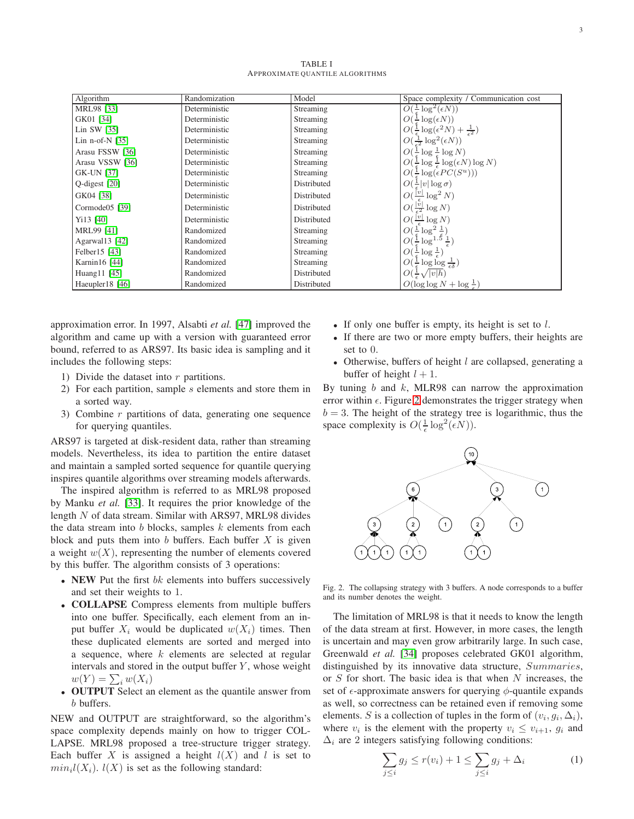TABLE I APPROXIMATE QUANTILE ALGORITHMS

<span id="page-2-0"></span>

| Algorithm             | Randomization | Model       | Space complexity / Communication cost                                   |
|-----------------------|---------------|-------------|-------------------------------------------------------------------------|
| MRL98 [33]            | Deterministic | Streaming   | $O(\frac{1}{\epsilon} \log^2(\epsilon N))$                              |
| GK01 [34]             | Deterministic | Streaming   | $O(\frac{1}{\epsilon} \log(\epsilon N))$                                |
| Lin SW $[35]$         | Deterministic | Streaming   | $O(\frac{1}{\epsilon}\log(\epsilon^2 N) + \frac{1}{\epsilon^2})$        |
| Lin n-of-N $[35]$     | Deterministic | Streaming   | $O(\frac{1}{\epsilon^2} \log^2(\epsilon N))$                            |
| Arasu FSSW [36]       | Deterministic | Streaming   | $O(\frac{1}{\epsilon} \log \frac{1}{\epsilon} \log N)$                  |
| Arasu VSSW [36]       | Deterministic | Streaming   | $O(\frac{1}{\epsilon} \log \frac{1}{\epsilon} \log(\epsilon N) \log N)$ |
| GK-UN [37]            | Deterministic | Streaming   | $O(\frac{1}{\epsilon} \log(\epsilon PC(S^u)))$                          |
| Q-digest [20]         | Deterministic | Distributed | $O(\frac{1}{\epsilon} v \log \sigma)$                                   |
| GK04 [38]             | Deterministic | Distributed | $O(\frac{ v }{\epsilon} \log^2 N)$                                      |
| Cormode $05$ [39]     | Deterministic | Distributed | $O(\frac{ v }{2} \log N)$                                               |
| Y <sub>113</sub> [40] | Deterministic | Distributed | $O(\frac{ v }{\cdot} \log N)$                                           |
| MRL99 [41]            | Randomized    | Streaming   | $O(\frac{1}{\epsilon} \log^2 \frac{1}{\epsilon})$                       |
| Agarwal13 [42]        | Randomized    | Streaming   | $O(\frac{1}{\epsilon} \log^{1.5} \frac{1}{\epsilon})$                   |
| Felber15 [43]         | Randomized    | Streaming   | $O(\frac{1}{\epsilon} \log \frac{1}{\epsilon})$                         |
| Karnin16 [44]         | Randomized    | Streaming   | $O(\frac{1}{\epsilon} \log \log \frac{1}{\epsilon \delta})$             |
| Huang11 [45]          | Randomized    | Distributed | $O(\frac{1}{\epsilon}\sqrt{ v h})$                                      |
| Haeupler18 [46]       | Randomized    | Distributed | $O(\log \log N + \log \frac{1}{\epsilon})$                              |

approximation error. In 1997, Alsabti *et al.* [47] improved the algorithm and came up with a version with guaranteed error bound, referred to as ARS97. Its basic idea is sampling and it includes the following steps:

- 1) Divide the dataset into  $r$  partitions.
- 2) For each partition, sample s elements and store them in a sorted way.
- 3) Combine  $r$  partitions of data, generating one sequence for querying quantiles.

ARS97 is targeted at disk-resident data, rather than streaming models. Nevertheless, its idea to partition the entire dataset and maintain a sampled sorted sequence for quantile querying inspires quantile algorithms over streaming models afterwards.

The inspired algorithm is referred to as MRL98 proposed by Manku *et al.* [33]. It requires the prior knowledge of the length N of data stream. Similar with ARS97, MRL98 divides the data stream into  $b$  blocks, samples  $k$  elements from each block and puts them into  $b$  buffers. Each buffer  $X$  is given a weight  $w(X)$ , representing the number of elements covered by this buffer. The algorithm consists of 3 operations:

- NEW Put the first  $bk$  elements into buffers successively and set their weights to 1.
- COLLAPSE Compress elements from multiple buffers into one buffer. Specifically, each element from an input buffer  $X_i$  would be duplicated  $w(X_i)$  times. Then these duplicated elements are sorted and merged into a sequence, where  $k$  elements are selected at regular intervals and stored in the output buffer  $Y$ , whose weight  $w(Y) = \sum_i w(X_i)$
- OUTPUT Select an element as the quantile answer from b buffers.

NEW and OUTPUT are straightforward, so the algorithm's space complexity depends mainly on how to trigger COL-LAPSE. MRL98 proposed a tree-structure trigger strategy. Each buffer X is assigned a height  $l(X)$  and l is set to  $min_i l(X_i)$ .  $l(X)$  is set as the following standard:

- If only one buffer is empty, its height is set to  $l$ .
- If there are two or more empty buffers, their heights are set to 0.
- Otherwise, buffers of height  $l$  are collapsed, generating a buffer of height  $l + 1$ .

By tuning  $b$  and  $k$ , MLR98 can narrow the approximation error within  $\epsilon$ . Figure [2](#page-2-1) demonstrates the trigger strategy when  $b = 3$ . The height of the strategy tree is logarithmic, thus the space complexity is  $O(\frac{1}{\epsilon} \log^2(\epsilon N)).$ 



<span id="page-2-1"></span>Fig. 2. The collapsing strategy with 3 buffers. A node corresponds to a buffer and its number denotes the weight.

The limitation of MRL98 is that it needs to know the length of the data stream at first. However, in more cases, the length is uncertain and may even grow arbitrarily large. In such case, Greenwald *et al.* [34] proposes celebrated GK01 algorithm, distinguished by its innovative data structure, Summaries, or  $S$  for short. The basic idea is that when  $N$  increases, the set of  $\epsilon$ -approximate answers for querying  $\phi$ -quantile expands as well, so correctness can be retained even if removing some elements. S is a collection of tuples in the form of  $(v_i, g_i, \Delta_i)$ , where  $v_i$  is the element with the property  $v_i \le v_{i+1}$ ,  $g_i$  and  $\Delta_i$  are 2 integers satisfying following conditions:

<span id="page-2-2"></span>
$$
\sum_{j\leq i} g_j \leq r(v_i) + 1 \leq \sum_{j\leq i} g_j + \Delta_i \tag{1}
$$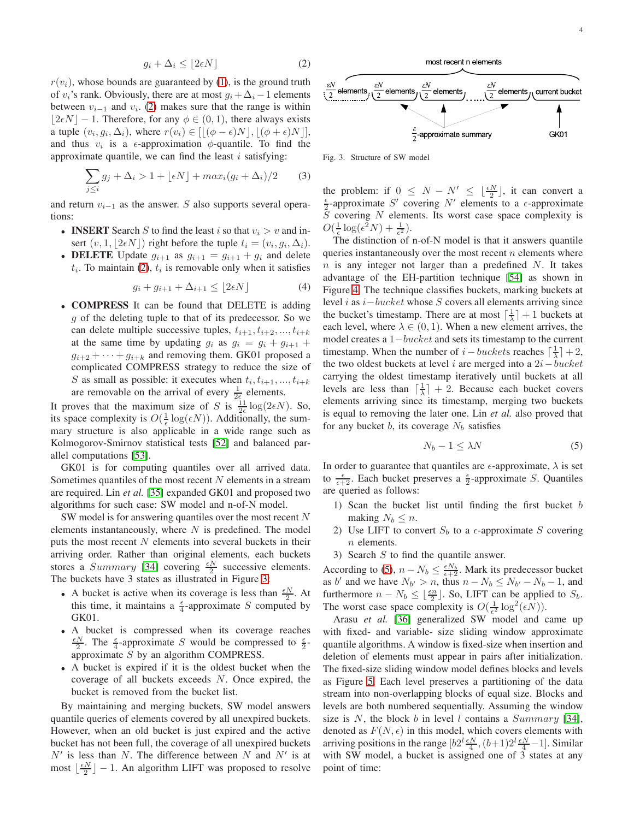<span id="page-3-0"></span>
$$
g_i + \Delta_i \le \lfloor 2\epsilon N \rfloor \tag{2}
$$

 $r(v_i)$ , whose bounds are guaranteed by [\(1\)](#page-2-2), is the ground truth of  $v_i$ 's rank. Obviously, there are at most  $g_i + \Delta_i - 1$  elements between  $v_{i-1}$  and  $v_i$ . [\(2\)](#page-3-0) makes sure that the range is within  $|2 \epsilon N| - 1$ . Therefore, for any  $\phi \in (0, 1)$ , there always exists a tuple  $(v_i, g_i, \Delta_i)$ , where  $r(v_i) \in [[(\phi - \epsilon)N], [(\phi + \epsilon)N]],$ and thus  $v_i$  is a  $\epsilon$ -approximation  $\phi$ -quantile. To find the approximate quantile, we can find the least  $i$  satisfying:

$$
\sum_{j\leq i} g_j + \Delta_i > 1 + \lfloor \epsilon N \rfloor + \max_i (g_i + \Delta_i) / 2 \tag{3}
$$

and return  $v_{i-1}$  as the answer. S also supports several operations:

- **INSERT** Search S to find the least i so that  $v_i > v$  and insert  $(v, 1, \lfloor 2\epsilon N \rfloor)$  right before the tuple  $t_i = (v_i, g_i, \Delta_i)$ .
- **DELETE** Update  $g_{i+1}$  as  $g_{i+1} = g_{i+1} + g_i$  and delete  $t_i$ . To maintain [\(2\)](#page-3-0),  $t_i$  is removable only when it satisfies

$$
g_i + g_{i+1} + \Delta_{i+1} \le \lfloor 2\epsilon N \rfloor \tag{4}
$$

• **COMPRESS** It can be found that DELETE is adding g of the deleting tuple to that of its predecessor. So we can delete multiple successive tuples,  $t_{i+1}, t_{i+2}, ..., t_{i+k}$ at the same time by updating  $g_i$  as  $g_i = g_i + g_{i+1}$  $g_{i+2} + \cdots + g_{i+k}$  and removing them. GK01 proposed a complicated COMPRESS strategy to reduce the size of S as small as possible: it executes when  $t_i, t_{i+1}, ..., t_{i+k}$ are removable on the arrival of every  $\frac{1}{2\epsilon}$  elements.

It proves that the maximum size of S is  $\frac{11}{2\epsilon} \log(2\epsilon N)$ . So, its space complexity is  $O(\frac{1}{\epsilon} \log(\epsilon N))$ . Additionally, the summary structure is also applicable in a wide range such as Kolmogorov-Smirnov statistical tests [52] and balanced parallel computations [53].

GK01 is for computing quantiles over all arrived data. Sometimes quantiles of the most recent  $N$  elements in a stream are required. Lin *et al.* [35] expanded GK01 and proposed two algorithms for such case: SW model and n-of-N model.

SW model is for answering quantiles over the most recent  $N$ elements instantaneously, where  $N$  is predefined. The model puts the most recent  $N$  elements into several buckets in their arriving order. Rather than original elements, each buckets stores a *Summary* [34] covering  $\frac{\epsilon N}{2}$  successive elements. The buckets have 3 states as illustrated in Figure [3:](#page-3-1)

- A bucket is active when its coverage is less than  $\frac{\epsilon N}{2}$ . At this time, it maintains a  $\frac{\epsilon}{4}$ -approximate S computed by GK01.
- A bucket is compressed when its coverage reaches  $\frac{\epsilon N}{2}$ . The  $\frac{\epsilon}{4}$ -approximate S would be compressed to  $\frac{\epsilon}{2}$ approximate  $S$  by an algorithm COMPRESS.
- A bucket is expired if it is the oldest bucket when the coverage of all buckets exceeds N. Once expired, the bucket is removed from the bucket list.

By maintaining and merging buckets, SW model answers quantile queries of elements covered by all unexpired buckets. However, when an old bucket is just expired and the active bucket has not been full, the coverage of all unexpired buckets  $N'$  is less than N. The difference between N and  $N'$  is at most  $\lfloor \frac{\epsilon N}{2} \rfloor - 1$ . An algorithm LIFT was proposed to resolve



<span id="page-3-1"></span>Fig. 3. Structure of SW model

the problem: if  $0 \leq N - N' \leq \lfloor \frac{\epsilon N}{2} \rfloor$ , it can convert a  $\frac{\epsilon}{2}$ -approximate S' covering N' elements to a  $\epsilon$ -approximate  $S$  covering  $N$  elements. Its worst case space complexity is  $O(\frac{1}{\epsilon}\log(\epsilon^2 N) + \frac{1}{\epsilon^2}).$ 

The distinction of n-of-N model is that it answers quantile queries instantaneously over the most recent  $n$  elements where  $n$  is any integer not larger than a predefined  $N$ . It takes advantage of the EH-partition technique [54] as shown in Figure [4.](#page-4-0) The technique classifies buckets, marking buckets at level i as i−bucket whose S covers all elements arriving since the bucket's timestamp. There are at most  $\lceil \frac{1}{\lambda} \rceil + 1$  buckets at each level, where  $\lambda \in (0, 1)$ . When a new element arrives, the model creates a 1−bucket and sets its timestamp to the current timestamp. When the number of  $i - buckets$  reaches  $\lceil \frac{1}{\lambda} \rceil + 2$ , the two oldest buckets at level i are merged into a  $2i - bucket$ carrying the oldest timestamp iteratively until buckets at all levels are less than  $\lceil \frac{1}{\lambda} \rceil + 2$ . Because each bucket covers elements arriving since its timestamp, merging two buckets is equal to removing the later one. Lin *et al.* also proved that for any bucket b, its coverage  $N_b$  satisfies

<span id="page-3-2"></span>
$$
N_b - 1 \le \lambda N \tag{5}
$$

In order to guarantee that quantiles are  $\epsilon$ -approximate,  $\lambda$  is set to  $\frac{\epsilon}{\epsilon+2}$ . Each bucket preserves a  $\frac{\epsilon}{2}$ -approximate *S*. Quantiles are queried as follows:

- 1) Scan the bucket list until finding the first bucket b making  $N_b \leq n$ .
- 2) Use LIFT to convert  $S_b$  to a  $\epsilon$ -approximate S covering n elements.
- 3) Search  $S$  to find the quantile answer.

According to [\(5\)](#page-3-2),  $n - N_b \leq \frac{\epsilon N_b}{\epsilon + 2}$ . Mark its predecessor bucket as b' and we have  $N_{b'} > n$ , thus  $n - N_b \le N_{b'} - N_b - 1$ , and furthermore  $n - N_b \leq \lfloor \frac{\epsilon n}{2} \rfloor$ . So, LIFT can be applied to  $S_b$ . The worst case space complexity is  $O(\frac{1}{\epsilon^2} \log^2(\epsilon N)).$ 

Arasu *et al.* [36] generalized SW model and came up with fixed- and variable- size sliding window approximate quantile algorithms. A window is fixed-size when insertion and deletion of elements must appear in pairs after initialization. The fixed-size sliding window model defines blocks and levels as Figure [5.](#page-4-1) Each level preserves a partitioning of the data stream into non-overlapping blocks of equal size. Blocks and levels are both numbered sequentially. Assuming the window size is N, the block b in level l contains a  $Summary$  [34], denoted as  $F(N, \epsilon)$  in this model, which covers elements with arriving positions in the range  $[b2^l \frac{\epsilon N}{4}, (b+1)2^l \frac{\epsilon N}{4} - 1]$ . Similar with SW model, a bucket is assigned one of 3 states at any point of time: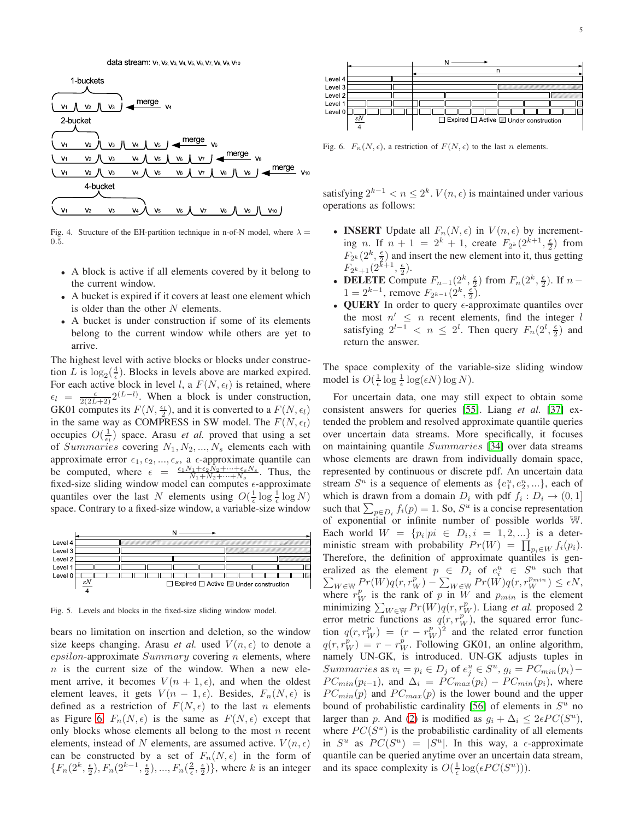

<span id="page-4-0"></span>Fig. 4. Structure of the EH-partition technique in n-of-N model, where  $\lambda =$ 0.5.

- A block is active if all elements covered by it belong to the current window.
- A bucket is expired if it covers at least one element which is older than the other  $N$  elements.
- A bucket is under construction if some of its elements belong to the current window while others are yet to arrive.

The highest level with active blocks or blocks under construction L is  $\log_2(\frac{4}{\epsilon})$ . Blocks in levels above are marked expired. For each active block in level *l*, a  $F(N, \epsilon_l)$  is retained, where  $\epsilon_l = \frac{\epsilon}{2(2L+2)} 2^{(L-l)}$ . When a block is under construction, GK01 computes its  $F(N, \frac{\epsilon_1}{2})$ , and it is converted to a  $F(N, \epsilon_1)$ in the same way as COMPRESS in SW model. The  $F(N, \epsilon_l)$ occupies  $O(\frac{1}{\epsilon_l})$  space. Arasu *et al.* proved that using a set of Summaries covering  $N_1, N_2, ..., N_s$  elements each with approximate error  $\epsilon_1, \epsilon_2, ..., \epsilon_s$ , a  $\epsilon$ -approximate quantile can be computed, where  $\epsilon = \frac{\epsilon_1 N_1 + \epsilon_2 N_2 + \cdots + \epsilon_s N_s}{N_1 + N_2 + \cdots + N_s}$ . Thus, the fixed-size sliding window model can computes  $\epsilon$ -approximate quantiles over the last N elements using  $O(\frac{1}{\epsilon} \log \frac{1}{\epsilon} \log N)$ space. Contrary to a fixed-size window, a variable-size window



<span id="page-4-1"></span>Fig. 5. Levels and blocks in the fixed-size sliding window model.

bears no limitation on insertion and deletion, so the window size keeps changing. Arasu *et al.* used  $V(n, \epsilon)$  to denote a  $epsilon$ -gosilon-approximate  $Summary$  covering n elements, where  $n$  is the current size of the window. When a new element arrive, it becomes  $V(n + 1, \epsilon)$ , and when the oldest element leaves, it gets  $V(n - 1, \epsilon)$ . Besides,  $F_n(N, \epsilon)$  is defined as a restriction of  $F(N, \epsilon)$  to the last n elements as Figure [6.](#page-4-2)  $F_n(N, \epsilon)$  is the same as  $F(N, \epsilon)$  except that only blocks whose elements all belong to the most  $n$  recent elements, instead of N elements, are assumed active.  $V(n, \epsilon)$ can be constructed by a set of  $F_n(N, \epsilon)$  in the form of  $\{F_n(2^k, \frac{\epsilon}{2}), F_n(2^{k-1}, \frac{\epsilon}{2}), ..., F_n(\frac{2}{\epsilon}, \frac{\epsilon}{2})\}$ , where k is an integer



<span id="page-4-2"></span>Fig. 6.  $F_n(N, \epsilon)$ , a restriction of  $F(N, \epsilon)$  to the last n elements.

satisfying  $2^{k-1} < n \leq 2^k$ .  $V(n, \epsilon)$  is maintained under various operations as follows:

- **INSERT** Update all  $F_n(N, \epsilon)$  in  $V(n, \epsilon)$  by incrementing *n*. If  $n + 1 = 2^k + 1$ , create  $F_{2^k}(2^{k+1}, \frac{\epsilon}{2})$  from  $F_{2^k}(2^k, \frac{\epsilon}{2})$  and insert the new element into it, thus getting  $F_{2^k+1}(2^{k+1}, \frac{\epsilon}{2}).$
- **DELETE** Compute  $F_{n-1}(2^k, \frac{\epsilon}{2})$  from  $F_n(2^k, \frac{\epsilon}{2})$ . If  $n 1 = 2^{k-1}$ , remove  $F_{2^{k-1}}(2^k, \frac{\epsilon}{2})$ .
- QUERY In order to query  $\epsilon$ -approximate quantiles over the most  $n' \leq n$  recent elements, find the integer l satisfying  $2^{l-1} < n \le 2^l$ . Then query  $F_n(2^l, \frac{\epsilon}{2})$  and return the answer.

The space complexity of the variable-size sliding window model is  $O(\frac{1}{\epsilon} \log \frac{1}{\epsilon} \log(\epsilon N) \log N)$ .

For uncertain data, one may still expect to obtain some consistent answers for queries [55]. Liang *et al.* [37] extended the problem and resolved approximate quantile queries over uncertain data streams. More specifically, it focuses on maintaining quantile Summaries [34] over data streams whose elements are drawn from individually domain space, represented by continuous or discrete pdf. An uncertain data stream  $S^u$  is a sequence of elements as  $\{e_1^u, e_2^u, ...\}$ , each of which is drawn from a domain  $D_i$  with pdf  $f_i : D_i \to (0,1]$ such that  $\sum_{p \in D_i} f_i(p) = 1$ . So,  $S^u$  is a concise representation of exponential or infinite number of possible worlds W. Each world  $W = \{p_i | pi \in D_i, i = 1, 2, ...\}$  is a deterministic stream with probability  $Pr(W) = \prod_{p_i \in W} f_i(p_i)$ . Therefore, the definition of approximate quantiles is generalized as the element  $p \in D_i$  of  $e_i^u \in S^u$  such that  $\sum_{W \in \mathbb{W}} \Pr(W) q(r, r_W^p) - \sum_{W \in \mathbb{W}} \Pr(W) q(r, r_W^{p_{min}}) \le \epsilon N,$ where  $r_W^p$  is the rank of p in W and  $p_{min}$  is the element minimizing  $\sum_{W \in \mathbb{W}} Pr(W)q(r, r_W^p)$ . Liang *et al.* proposed 2 error metric functions as  $q(r, r_W^p)$ , the squared error function  $q(r, r_W^p) = (r - r_W^p)^2$  and the related error function  $q(r, r_W^p) = r - r_W^p$ . Following GK01, an online algorithm, namely UN-GK, is introduced. UN-GK adjusts tuples in Summaries as  $v_i = p_i \in D_j$  of  $e_j^u \in S^u$ ,  $g_i = PC_{min}(p_i) PC_{min}(p_{i-1})$ , and  $\Delta_i = PC_{max}(p_i) - PC_{min}(p_i)$ , where  $PC_{min}(p)$  and  $PC_{max}(p)$  is the lower bound and the upper bound of probabilistic cardinality [56] of elements in  $S<sup>u</sup>$  no larger than p. And [\(2\)](#page-3-0) is modified as  $g_i + \Delta_i \leq 2\epsilon PC(S^u)$ , where  $PC(S^u)$  is the probabilistic cardinality of all elements in  $S^u$  as  $PC(S^u) = |S^u|$ . In this way, a  $\epsilon$ -approximate quantile can be queried anytime over an uncertain data stream, and its space complexity is  $O(\frac{1}{\epsilon} \log(\epsilon PC(S^u))).$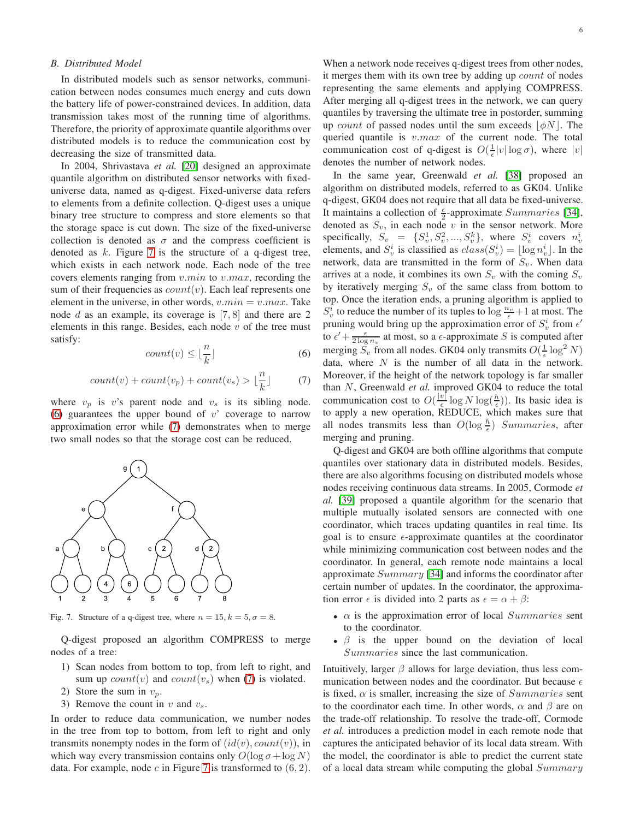# *B. Distributed Model*

In distributed models such as sensor networks, communication between nodes consumes much energy and cuts down the battery life of power-constrained devices. In addition, data transmission takes most of the running time of algorithms. Therefore, the priority of approximate quantile algorithms over distributed models is to reduce the communication cost by decreasing the size of transmitted data.

In 2004, Shrivastava *et al.* [20] designed an approximate quantile algorithm on distributed sensor networks with fixeduniverse data, named as q-digest. Fixed-universe data refers to elements from a definite collection. Q-digest uses a unique binary tree structure to compress and store elements so that the storage space is cut down. The size of the fixed-universe collection is denoted as  $\sigma$  and the compress coefficient is denoted as  $k$ . Figure [7](#page-5-0) is the structure of a q-digest tree, which exists in each network node. Each node of the tree covers elements ranging from  $v.min$  to  $v.max$ , recording the sum of their frequencies as  $count(v)$ . Each leaf represents one element in the universe, in other words,  $v.min = v.max$ . Take node d as an example, its coverage is  $[7, 8]$  and there are 2 elements in this range. Besides, each node  $v$  of the tree must satisfy:

<span id="page-5-1"></span>
$$
count(v) \le \lfloor \frac{n}{k} \rfloor \tag{6}
$$

<span id="page-5-2"></span>
$$
count(v) + count(v_p) + count(v_s) > \lfloor \frac{n}{k} \rfloor \tag{7}
$$

where  $v_p$  is v's parent node and  $v_s$  is its sibling node. [\(6\)](#page-5-1) guarantees the upper bound of  $v'$  coverage to narrow approximation error while [\(7\)](#page-5-2) demonstrates when to merge two small nodes so that the storage cost can be reduced.



<span id="page-5-0"></span>Fig. 7. Structure of a q-digest tree, where  $n = 15$ ,  $k = 5$ ,  $\sigma = 8$ .

Q-digest proposed an algorithm COMPRESS to merge nodes of a tree:

- 1) Scan nodes from bottom to top, from left to right, and sum up  $count(v)$  and  $count(v_s)$  when [\(7\)](#page-5-2) is violated.
- 2) Store the sum in  $v_p$ .
- 3) Remove the count in  $v$  and  $v_s$ .

In order to reduce data communication, we number nodes in the tree from top to bottom, from left to right and only transmits nonempty nodes in the form of  $(id(v), count(v))$ , in which way every transmission contains only  $O(\log \sigma + \log N)$ data. For example, node  $c$  in Figure [7](#page-5-0) is transformed to  $(6, 2)$ .

When a network node receives q-digest trees from other nodes, it merges them with its own tree by adding up count of nodes representing the same elements and applying COMPRESS. After merging all q-digest trees in the network, we can query quantiles by traversing the ultimate tree in postorder, summing up *count* of passed nodes until the sum exceeds  $|\phi N|$ . The queried quantile is  $v.max$  of the current node. The total communication cost of q-digest is  $O(\frac{1}{\epsilon}|v|\log \sigma)$ , where  $|v|$ denotes the number of network nodes.

In the same year, Greenwald *et al.* [38] proposed an algorithm on distributed models, referred to as GK04. Unlike q-digest, GK04 does not require that all data be fixed-universe. It maintains a collection of  $\frac{\epsilon}{2}$ -approximate *Summaries* [34], denoted as  $S_v$ , in each node v in the sensor network. More specifically,  $S_v = \{S_v^1, S_v^2, ..., S_v^k\}$ , where  $S_v^i$  covers  $n_v^i$ elements, and  $S_v^i$  is classified as  $class(S_v^i) = \lfloor \log n_v^i \rfloor$ . In the network, data are transmitted in the form of  $S_v$ . When data arrives at a node, it combines its own  $S_v$  with the coming  $S_v$ by iteratively merging  $S_v$  of the same class from bottom to top. Once the iteration ends, a pruning algorithm is applied to  $S_v^i$  to reduce the number of its tuples to  $\log \frac{n_v}{\epsilon} + 1$  at most. The pruning would bring up the approximation error of  $S_v^i$  from  $\epsilon'$ to  $\epsilon' + \frac{\epsilon}{2 \log n_v}$  at most, so a  $\epsilon$ -approximate S is computed after merging  $\tilde{S}_v$  from all nodes. GK04 only transmits  $O(\frac{1}{\epsilon} \log^2 N)$ data, where  $N$  is the number of all data in the network. Moreover, if the height of the network topology is far smaller than N, Greenwald *et al.* improved GK04 to reduce the total communication cost to  $O(\frac{|v|}{\epsilon})$  $\frac{v|}{\epsilon} \log N \log(\frac{h}{\epsilon})$ ). Its basic idea is to apply a new operation, REDUCE, which makes sure that all nodes transmits less than  $O(\log \frac{h}{\epsilon})$  Summaries, after merging and pruning.

Q-digest and GK04 are both offline algorithms that compute quantiles over stationary data in distributed models. Besides, there are also algorithms focusing on distributed models whose nodes receiving continuous data streams. In 2005, Cormode *et al.* [39] proposed a quantile algorithm for the scenario that multiple mutually isolated sensors are connected with one coordinator, which traces updating quantiles in real time. Its goal is to ensure  $\epsilon$ -approximate quantiles at the coordinator while minimizing communication cost between nodes and the coordinator. In general, each remote node maintains a local approximate Summary [34] and informs the coordinator after certain number of updates. In the coordinator, the approximation error  $\epsilon$  is divided into 2 parts as  $\epsilon = \alpha + \beta$ :

- $\alpha$  is the approximation error of local *Summaries* sent to the coordinator.
- $\beta$  is the upper bound on the deviation of local Summaries since the last communication.

Intuitively, larger  $\beta$  allows for large deviation, thus less communication between nodes and the coordinator. But because  $\epsilon$ is fixed,  $\alpha$  is smaller, increasing the size of Summaries sent to the coordinator each time. In other words,  $\alpha$  and  $\beta$  are on the trade-off relationship. To resolve the trade-off, Cormode *et al.* introduces a prediction model in each remote node that captures the anticipated behavior of its local data stream. With the model, the coordinator is able to predict the current state of a local data stream while computing the global  $Summary$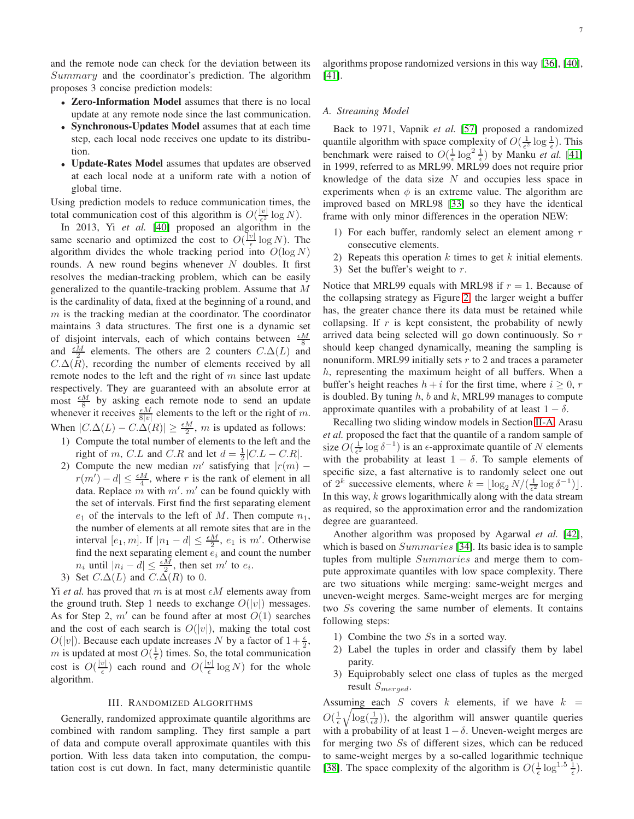and the remote node can check for the deviation between its Summary and the coordinator's prediction. The algorithm proposes 3 concise prediction models:

- Zero-Information Model assumes that there is no local update at any remote node since the last communication.
- Synchronous-Updates Model assumes that at each time step, each local node receives one update to its distribution.
- Update-Rates Model assumes that updates are observed at each local node at a uniform rate with a notion of global time.

Using prediction models to reduce communication times, the total communication cost of this algorithm is  $O(\frac{|v|}{\epsilon^2})$  $rac{|v|}{\epsilon^2} \log N$ ).

In 2013, Yi *et al.* [40] proposed an algorithm in the same scenario and optimized the cost to  $O(\frac{|v|}{\epsilon})$  $\frac{v_1}{\epsilon} \log N$ ). The algorithm divides the whole tracking period into  $O(\log N)$ rounds. A new round begins whenever  $N$  doubles. It first resolves the median-tracking problem, which can be easily generalized to the quantile-tracking problem. Assume that M is the cardinality of data, fixed at the beginning of a round, and  $m$  is the tracking median at the coordinator. The coordinator maintains 3 data structures. The first one is a dynamic set of disjoint intervals, each of which contains between  $\frac{\epsilon M}{8}$ and  $\frac{\epsilon M}{2}$  elements. The others are 2 counters  $C.\Delta(L)$  and  $C.\Delta(\overline{R})$ , recording the number of elements received by all remote nodes to the left and the right of  $m$  since last update respectively. They are guaranteed with an absolute error at most  $\frac{\epsilon M}{8}$  by asking each remote node to send an update whenever it receives  $\frac{\epsilon M}{8|v|}$  elements to the left or the right of m. When  $|C.\Delta(L) - C.\Delta(R)| \geq \frac{\epsilon M}{2}$ , *m* is updated as follows:

- 1) Compute the total number of elements to the left and the right of m, C.L and C.R and let  $d = \frac{1}{2}|C.L - C.R|$ .
- 2) Compute the new median  $m'$  satisfying that  $|r(m) |r(m') - d| \leq \frac{\epsilon M}{4}$ , where r is the rank of element in all data. Replace  $m$  with  $m'$ .  $m'$  can be found quickly with the set of intervals. First find the first separating element  $e_1$  of the intervals to the left of M. Then compute  $n_1$ , the number of elements at all remote sites that are in the interval  $[e_1, m]$ . If  $|n_1 - d| \leq \frac{\epsilon M}{2}$ ,  $e_1$  is  $m'$ . Otherwise find the next separating element  $e_i$  and count the number  $n_i$  until  $|n_i - d| \leq \frac{\epsilon M}{2}$ , then set  $m'$  to  $e_i$ .
- 3) Set  $C.\Delta(L)$  and  $C.\Delta(R)$  to 0.

Yi *et al.* has proved that m is at most  $\epsilon M$  elements away from the ground truth. Step 1 needs to exchange  $O(|v|)$  messages. As for Step 2,  $m'$  can be found after at most  $O(1)$  searches and the cost of each search is  $O(|v|)$ , making the total cost  $O(|v|)$ . Because each update increases N by a factor of  $1+\frac{\epsilon}{2}$ , m is updated at most  $O(\frac{1}{\epsilon})$  times. So, the total communication cost is  $O(\frac{|v|}{\epsilon})$  $\frac{v|}{\epsilon}$ ) each round and  $O(\frac{|v|}{\epsilon})$  $\frac{v_{\parallel}}{\epsilon}$  log N) for the whole algorithm.

#### III. RANDOMIZED ALGORITHMS

<span id="page-6-0"></span>Generally, randomized approximate quantile algorithms are combined with random sampling. They first sample a part of data and compute overall approximate quantiles with this portion. With less data taken into computation, the computation cost is cut down. In fact, many deterministic quantile

algorithms propose randomized versions in this way [36], [40], [41].

#### *A. Streaming Model*

Back to 1971, Vapnik *et al.* [\[57\]](#page-11-1) proposed a randomized quantile algorithm with space complexity of  $O(\frac{1}{\epsilon^2} \log \frac{1}{\epsilon})$ . This benchmark were raised to  $O(\frac{1}{\epsilon} \log^2 \frac{1}{\epsilon})$  by Manku *et al.* [41] in 1999, referred to as MRL99. MRL99 does not require prior knowledge of the data size  $N$  and occupies less space in experiments when  $\phi$  is an extreme value. The algorithm are improved based on MRL98 [33] so they have the identical frame with only minor differences in the operation NEW:

- 1) For each buffer, randomly select an element among  $r$ consecutive elements.
- 2) Repeats this operation  $k$  times to get  $k$  initial elements.
- 3) Set the buffer's weight to  $r$ .

Notice that MRL99 equals with MRL98 if  $r = 1$ . Because of the collapsing strategy as Figure [2,](#page-2-1) the larger weight a buffer has, the greater chance there its data must be retained while collapsing. If  $r$  is kept consistent, the probability of newly arrived data being selected will go down continuously. So r should keep changed dynamically, meaning the sampling is nonuniform. MRL99 initially sets  $r$  to 2 and traces a parameter  $h$ , representing the maximum height of all buffers. When a buffer's height reaches  $h + i$  for the first time, where  $i \geq 0$ , r is doubled. By tuning  $h$ ,  $b$  and  $k$ , MRL99 manages to compute approximate quantiles with a probability of at least  $1 - \delta$ .

Recalling two sliding window models in Section [II-A,](#page-1-2) Arasu *et al.* proposed the fact that the quantile of a random sample of size  $O(\frac{1}{\epsilon^2} \log \delta^{-1})$  is an  $\epsilon$ -approximate quantile of N elements with the probability at least  $1 - \delta$ . To sample elements of specific size, a fast alternative is to randomly select one out of  $2^k$  successive elements, where  $k = \lfloor \log_2 N / (\frac{1}{\epsilon^2} \log \delta^{-1}) \rfloor$ . In this way,  $k$  grows logarithmically along with the data stream as required, so the approximation error and the randomization degree are guaranteed.

Another algorithm was proposed by Agarwal *et al.* [42], which is based on *Summaries* [34]. Its basic idea is to sample tuples from multiple Summaries and merge them to compute approximate quantiles with low space complexity. There are two situations while merging: same-weight merges and uneven-weight merges. Same-weight merges are for merging two Ss covering the same number of elements. It contains following steps:

- 1) Combine the two Ss in a sorted way.
- 2) Label the tuples in order and classify them by label parity.
- 3) Equiprobably select one class of tuples as the merged result  $S_{merqed}$ .

Assuming each S covers k elements, if we have  $k =$  $O(\frac{1}{\epsilon}\sqrt{\log(\frac{1}{\epsilon\delta})})$ , the algorithm will answer quantile queries with a probability of at least  $1-\delta$ . Uneven-weight merges are for merging two Ss of different sizes, which can be reduced to same-weight merges by a so-called logarithmic technique [38]. The space complexity of the algorithm is  $O(\frac{1}{\epsilon} \log^{1.5} \frac{1}{\epsilon})$ .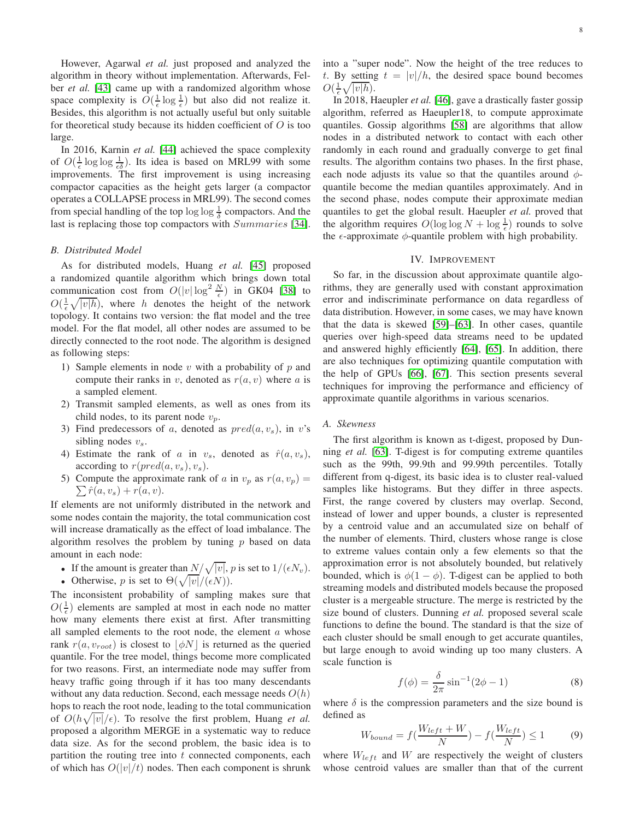However, Agarwal *et al.* just proposed and analyzed the algorithm in theory without implementation. Afterwards, Felber *et al.* [43] came up with a randomized algorithm whose space complexity is  $O(\frac{1}{\epsilon} \log \frac{1}{\epsilon})$  but also did not realize it. Besides, this algorithm is not actually useful but only suitable for theoretical study because its hidden coefficient of  $O$  is too large.

In 2016, Karnin *et al.* [44] achieved the space complexity of  $O(\frac{1}{\epsilon} \log \log \frac{1}{\epsilon \delta})$ . Its idea is based on MRL99 with some improvements. The first improvement is using increasing compactor capacities as the height gets larger (a compactor operates a COLLAPSE process in MRL99). The second comes from special handling of the top  $\log \log \frac{1}{\delta}$  compactors. And the last is replacing those top compactors with  $Summaries$  [34].

### *B. Distributed Model*

As for distributed models, Huang *et al.* [45] proposed a randomized quantile algorithm which brings down total communication cost from  $O(|v|\log^2 \frac{N}{\epsilon})$  in GK04 [38] to  $O(\frac{1}{\epsilon}\sqrt{|v|h})$ , where h denotes the height of the network topology. It contains two version: the flat model and the tree model. For the flat model, all other nodes are assumed to be directly connected to the root node. The algorithm is designed as following steps:

- 1) Sample elements in node  $v$  with a probability of  $p$  and compute their ranks in v, denoted as  $r(a, v)$  where a is a sampled element.
- 2) Transmit sampled elements, as well as ones from its child nodes, to its parent node  $v_n$ .
- 3) Find predecessors of a, denoted as  $pred(a, v_s)$ , in v's sibling nodes  $v_s$ .
- 4) Estimate the rank of a in  $v_s$ , denoted as  $\hat{r}(a, v_s)$ , according to  $r(pred(a, v_s), v_s)$ .
- 5) Compute the approximate rank of a in  $v_p$  as  $r(a, v_p) =$  $\sum \hat{r}(a, v_s) + r(a, v).$

If elements are not uniformly distributed in the network and some nodes contain the majority, the total communication cost will increase dramatically as the effect of load imbalance. The algorithm resolves the problem by tuning  $p$  based on data amount in each node:

- If the amount is greater than  $N/\sqrt{|v|}$ , p is set to  $1/(\epsilon N_v)$ .
- Otherwise, p is set to  $\Theta(\sqrt{|v|}/(\epsilon N)).$

The inconsistent probability of sampling makes sure that  $O(\frac{1}{\epsilon})$  elements are sampled at most in each node no matter how many elements there exist at first. After transmitting all sampled elements to the root node, the element  $a$  whose rank  $r(a, v_{root})$  is closest to  $|\phi N|$  is returned as the queried quantile. For the tree model, things become more complicated for two reasons. First, an intermediate node may suffer from heavy traffic going through if it has too many descendants without any data reduction. Second, each message needs  $O(h)$ hops to reach the root node, leading to the total communication of  $O(h\sqrt{|v|}/\epsilon)$ . To resolve the first problem, Huang *et al.* proposed a algorithm MERGE in a systematic way to reduce data size. As for the second problem, the basic idea is to partition the routing tree into  $t$  connected components, each of which has  $O(|v|/t)$  nodes. Then each component is shrunk into a "super node". Now the height of the tree reduces to t. By setting  $t = |v|/h$ , the desired space bound becomes  $O(\frac{1}{\epsilon}\sqrt{|v|h}).$ 

In 2018, Haeupler *et al.* [46], gave a drastically faster gossip algorithm, referred as Haeupler18, to compute approximate quantiles. Gossip algorithms [58] are algorithms that allow nodes in a distributed network to contact with each other randomly in each round and gradually converge to get final results. The algorithm contains two phases. In the first phase, each node adjusts its value so that the quantiles around  $\phi$ quantile become the median quantiles approximately. And in the second phase, nodes compute their approximate median quantiles to get the global result. Haeupler *et al.* proved that the algorithm requires  $O(\log \log N + \log \frac{1}{\epsilon})$  rounds to solve the  $\epsilon$ -approximate  $\phi$ -quantile problem with high probability.

### IV. IMPROVEMENT

<span id="page-7-0"></span>So far, in the discussion about approximate quantile algorithms, they are generally used with constant approximation error and indiscriminate performance on data regardless of data distribution. However, in some cases, we may have known that the data is skewed [59]–[63]. In other cases, quantile queries over high-speed data streams need to be updated and answered highly efficiently [64], [65]. In addition, there are also techniques for optimizing quantile computation with the help of GPUs [66], [\[67\]](#page-12-0). This section presents several techniques for improving the performance and efficiency of approximate quantile algorithms in various scenarios.

# *A. Skewness*

The first algorithm is known as t-digest, proposed by Dunning *et al.* [63]. T-digest is for computing extreme quantiles such as the 99th, 99.9th and 99.99th percentiles. Totally different from q-digest, its basic idea is to cluster real-valued samples like histograms. But they differ in three aspects. First, the range covered by clusters may overlap. Second, instead of lower and upper bounds, a cluster is represented by a centroid value and an accumulated size on behalf of the number of elements. Third, clusters whose range is close to extreme values contain only a few elements so that the approximation error is not absolutely bounded, but relatively bounded, which is  $\phi(1-\phi)$ . T-digest can be applied to both streaming models and distributed models because the proposed cluster is a mergeable structure. The merge is restricted by the size bound of clusters. Dunning *et al.* proposed several scale functions to define the bound. The standard is that the size of each cluster should be small enough to get accurate quantiles, but large enough to avoid winding up too many clusters. A scale function is

<span id="page-7-1"></span>
$$
f(\phi) = \frac{\delta}{2\pi} \sin^{-1}(2\phi - 1)
$$
 (8)

where  $\delta$  is the compression parameters and the size bound is defined as

$$
W_{bound} = f\left(\frac{W_{left} + W}{N}\right) - f\left(\frac{W_{left}}{N}\right) \le 1\right) \tag{9}
$$

where  $W_{left}$  and W are respectively the weight of clusters whose centroid values are smaller than that of the current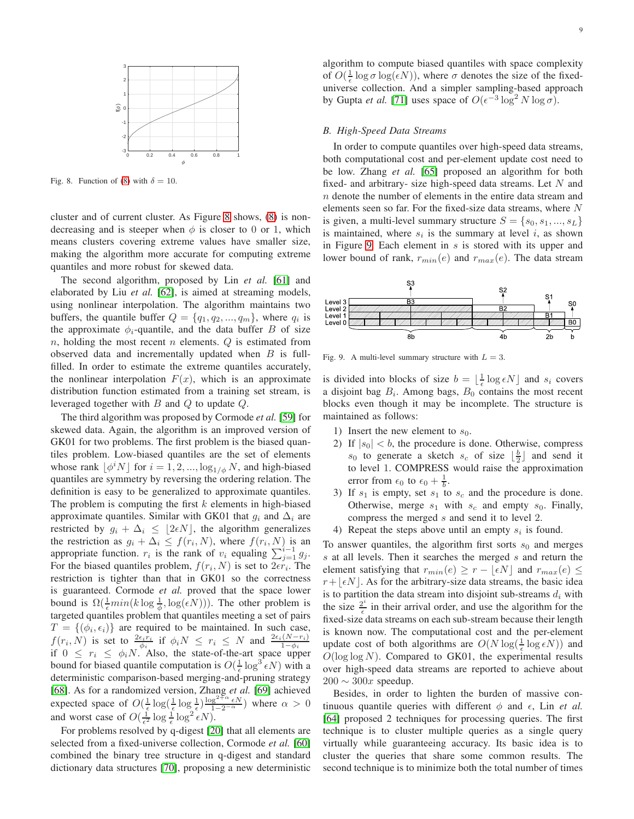

<span id="page-8-0"></span>Fig. 8. Function of [\(8\)](#page-7-1) with  $\delta = 10$ .

cluster and of current cluster. As Figure [8](#page-8-0) shows, [\(8\)](#page-7-1) is nondecreasing and is steeper when  $\phi$  is closer to 0 or 1, which means clusters covering extreme values have smaller size, making the algorithm more accurate for computing extreme quantiles and more robust for skewed data.

The second algorithm, proposed by Lin *et al.* [61] and elaborated by Liu *et al.* [62], is aimed at streaming models, using nonlinear interpolation. The algorithm maintains two buffers, the quantile buffer  $Q = \{q_1, q_2, ..., q_m\}$ , where  $q_i$  is the approximate  $\phi_i$ -quantile, and the data buffer B of size  $n$ , holding the most recent  $n$  elements.  $Q$  is estimated from observed data and incrementally updated when  $B$  is fullfilled. In order to estimate the extreme quantiles accurately, the nonlinear interpolation  $F(x)$ , which is an approximate distribution function estimated from a training set stream, is leveraged together with B and Q to update Q.

The third algorithm was proposed by Cormode *et al.* [59] for skewed data. Again, the algorithm is an improved version of GK01 for two problems. The first problem is the biased quantiles problem. Low-biased quantiles are the set of elements whose rank  $\lfloor \phi^i N \rfloor$  for  $i = 1, 2, ..., \log_{1/\phi} N$ , and high-biased quantiles are symmetry by reversing the ordering relation. The definition is easy to be generalized to approximate quantiles. The problem is computing the first  $k$  elements in high-biased approximate quantiles. Similar with GK01 that  $g_i$  and  $\Delta_i$  are restricted by  $g_i + \Delta_i \leq \lfloor 2\epsilon N \rfloor$ , the algorithm generalizes the restriction as  $g_i + \Delta_i \leq f(r_i, N)$ , where  $f(r_i, N)$  is an appropriate function.  $r_i$  is the rank of  $v_i$  equaling  $\sum_{j=1}^{i-1} g_j$ . For the biased quantiles problem,  $f(r_i, N)$  is set to  $2\epsilon r_i$ . The restriction is tighter than that in GK01 so the correctness is guaranteed. Cormode *et al.* proved that the space lower bound is  $\Omega(\frac{1}{\epsilon}min(k \log \frac{1}{\phi}, \log(\epsilon N)))$ . The other problem is targeted quantiles problem that quantiles meeting a set of pairs  $T = \{(\phi_i, \epsilon_i)\}\$ are required to be maintained. In such case,  $f(r_i, N)$  is set to  $\frac{2\epsilon_i r_i}{\phi_i}$  if  $\phi_i N \leq r_i \leq N$  and  $\frac{2\epsilon_i (N-r_i)}{1-\phi_i}$ <br>if  $0 \leq r_i \leq \phi_i N$ . Also, the state-of-the-art space upper bound for biased quantile computation is  $O(\frac{1}{\epsilon} \log^3 \epsilon N)$  with a deterministic comparison-based merging-and-pruning strategy [68]. As for a randomized version, Zhang *et al.* [69] achieved expected space of  $O(\frac{1}{\epsilon} \log(\frac{1}{\epsilon} \log \frac{1}{\epsilon}) \frac{\log^{2+\alpha} \epsilon N}{1-2^{-\alpha}})$  where  $\alpha > 0$ and worst case of  $O(\frac{1}{\epsilon^2} \log \frac{1}{\epsilon} \log^2 \epsilon N)$ .

For problems resolved by q-digest [20] that all elements are selected from a fixed-universe collection, Cormode *et al.* [60] combined the binary tree structure in q-digest and standard dictionary data structures [70], proposing a new deterministic

algorithm to compute biased quantiles with space complexity of  $O(\frac{1}{\epsilon} \log \sigma \log(\epsilon N))$ , where  $\sigma$  denotes the size of the fixeduniverse collection. And a simpler sampling-based approach by Gupta *et al.* [71] uses space of  $O(\epsilon^{-3} \log^2 N \log \sigma)$ .

#### *B. High-Speed Data Streams*

In order to compute quantiles over high-speed data streams, both computational cost and per-element update cost need to be low. Zhang *et al.* [65] proposed an algorithm for both fixed- and arbitrary- size high-speed data streams. Let  $N$  and n denote the number of elements in the entire data stream and elements seen so far. For the fixed-size data streams, where  $N$ is given, a multi-level summary structure  $S = \{s_0, s_1, ..., s_L\}$ is maintained, where  $s_i$  is the summary at level i, as shown in Figure [9.](#page-8-1) Each element in  $s$  is stored with its upper and lower bound of rank,  $r_{min}(e)$  and  $r_{max}(e)$ . The data stream



<span id="page-8-1"></span>Fig. 9. A multi-level summary structure with  $L = 3$ .

is divided into blocks of size  $b = \lfloor \frac{1}{\epsilon} \log \epsilon N \rfloor$  and  $s_i$  covers a disjoint bag  $B_i$ . Among bags,  $B_0$  contains the most recent blocks even though it may be incomplete. The structure is maintained as follows:

- 1) Insert the new element to  $s_0$ .
- 2) If  $|s_0| < b$ , the procedure is done. Otherwise, compress  $s_0$  to generate a sketch  $s_c$  of size  $\lfloor \frac{b}{2} \rfloor$  and send it to level 1. COMPRESS would raise the approximation error from  $\epsilon_0$  to  $\epsilon_0 + \frac{1}{b}$ .
- 3) If  $s_1$  is empty, set  $s_1$  to  $s_c$  and the procedure is done. Otherwise, merge  $s_1$  with  $s_c$  and empty  $s_0$ . Finally, compress the merged s and send it to level 2.
- 4) Repeat the steps above until an empty  $s_i$  is found.

To answer quantiles, the algorithm first sorts  $s_0$  and merges s at all levels. Then it searches the merged s and return the element satisfying that  $r_{min}(e) \ge r - |\epsilon N|$  and  $r_{max}(e) \le$  $r+|\epsilon N|$ . As for the arbitrary-size data streams, the basic idea is to partition the data stream into disjoint sub-streams  $d_i$  with the size  $\frac{2^i}{\epsilon}$  in their arrival order, and use the algorithm for the fixed-size data streams on each sub-stream because their length is known now. The computational cost and the per-element update cost of both algorithms are  $O(N \log(\frac{1}{\epsilon} \log \epsilon N))$  and  $O(\log \log N)$ . Compared to GK01, the experimental results over high-speed data streams are reported to achieve about  $200 \sim 300x$  speedup.

Besides, in order to lighten the burden of massive continuous quantile queries with different  $\phi$  and  $\epsilon$ , Lin *et al.* [64] proposed 2 techniques for processing queries. The first technique is to cluster multiple queries as a single query virtually while guaranteeing accuracy. Its basic idea is to cluster the queries that share some common results. The second technique is to minimize both the total number of times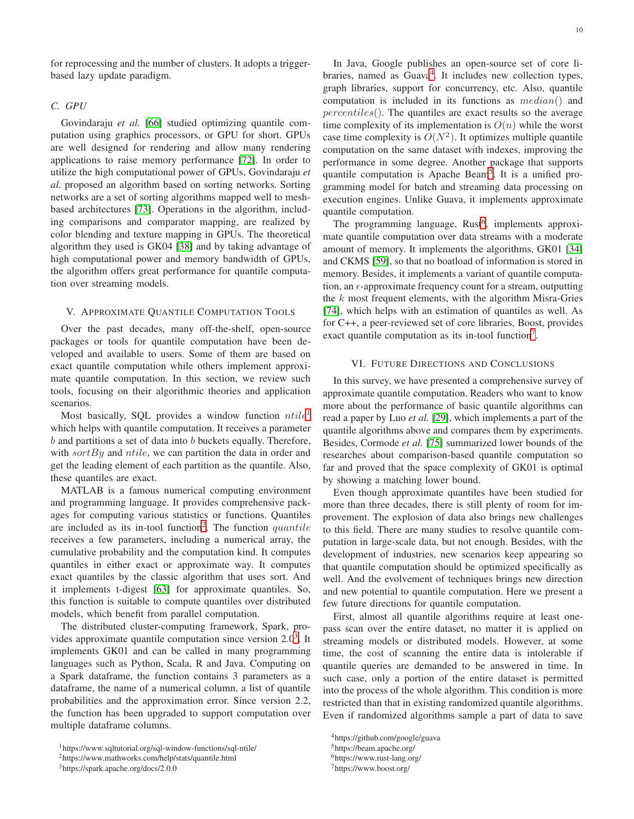for reprocessing and the number of clusters. It adopts a triggerbased lazy update paradigm.

### *C. GPU*

Govindaraju *et al.* [66] studied optimizing quantile computation using graphics processors, or GPU for short. GPUs are well designed for rendering and allow many rendering applications to raise memory performance [\[72\]](#page-12-1). In order to utilize the high computational power of GPUs, Govindaraju *et al.* proposed an algorithm based on sorting networks. Sorting networks are a set of sorting algorithms mapped well to meshbased architectures [73]. Operations in the algorithm, including comparisons and comparator mapping, are realized by color blending and texture mapping in GPUs. The theoretical algorithm they used is GK04 [38] and by taking advantage of high computational power and memory bandwidth of GPUs, the algorithm offers great performance for quantile computation over streaming models.

#### <span id="page-9-0"></span>V. APPROXIMATE QUANTILE COMPUTATION TOOLS

Over the past decades, many off-the-shelf, open-source packages or tools for quantile computation have been developed and available to users. Some of them are based on exact quantile computation while others implement approximate quantile computation. In this section, we review such tools, focusing on their algorithmic theories and application scenarios.

Most basically, SQL provides a window function  $ntile<sup>1</sup>$  $ntile<sup>1</sup>$  $ntile<sup>1</sup>$ which helps with quantile computation. It receives a parameter  $b$  and partitions a set of data into  $b$  buckets equally. Therefore, with sort By and ntile, we can partition the data in order and get the leading element of each partition as the quantile. Also, these quantiles are exact.

MATLAB is a famous numerical computing environment and programming language. It provides comprehensive packages for computing various statistics or functions. Quantiles are included as its in-tool function<sup>[2](#page-9-3)</sup>. The function  $quantile$ receives a few parameters, including a numerical array, the cumulative probability and the computation kind. It computes quantiles in either exact or approximate way. It computes exact quantiles by the classic algorithm that uses sort. And it implements t-digest [63] for approximate quantiles. So, this function is suitable to compute quantiles over distributed models, which benefit from parallel computation.

The distributed cluster-computing framework, Spark, provides approximate quantile computation since version  $2.0<sup>3</sup>$  $2.0<sup>3</sup>$  $2.0<sup>3</sup>$ . It implements GK01 and can be called in many programming languages such as Python, Scala, R and Java. Computing on a Spark dataframe, the function contains 3 parameters as a dataframe, the name of a numerical column, a list of quantile probabilities and the approximation error. Since version 2.2, the function has been upgraded to support computation over multiple dataframe columns.

In Java, Google publishes an open-source set of core li-braries, named as Guava<sup>[4](#page-9-5)</sup>. It includes new collection types, graph libraries, support for concurrency, etc. Also, quantile computation is included in its functions as median() and percentiles(). The quantiles are exact results so the average time complexity of its implementation is  $O(n)$  while the worst case time complexity is  $O(N^2)$ . It optimizes multiple quantile computation on the same dataset with indexes, improving the performance in some degree. Another package that supports quantile computation is Apache Beam<sup>[5](#page-9-6)</sup>. It is a unified programming model for batch and streaming data processing on execution engines. Unlike Guava, it implements approximate quantile computation.

The programming language, Rust<sup>[6](#page-9-7)</sup>, implements approximate quantile computation over data streams with a moderate amount of memory. It implements the algorithms, GK01 [34] and CKMS [59], so that no boatload of information is stored in memory. Besides, it implements a variant of quantile computation, an  $\epsilon$ -approximate frequency count for a stream, outputting the  $k$  most frequent elements, with the algorithm Misra-Gries [74], which helps with an estimation of quantiles as well. As for C++, a peer-reviewed set of core libraries, Boost, provides exact quantile computation as its in-tool function<sup>[7](#page-9-8)</sup>.

# <span id="page-9-1"></span>VI. FUTURE DIRECTIONS AND CONCLUSIONS

In this survey, we have presented a comprehensive survey of approximate quantile computation. Readers who want to know more about the performance of basic quantile algorithms can read a paper by Luo *et al.* [29], which implements a part of the quantile algorithms above and compares them by experiments. Besides, Cormode *et al.* [75] summarized lower bounds of the researches about comparison-based quantile computation so far and proved that the space complexity of GK01 is optimal by showing a matching lower bound.

Even though approximate quantiles have been studied for more than three decades, there is still plenty of room for improvement. The explosion of data also brings new challenges to this field. There are many studies to resolve quantile computation in large-scale data, but not enough. Besides, with the development of industries, new scenarios keep appearing so that quantile computation should be optimized specifically as well. And the evolvement of techniques brings new direction and new potential to quantile computation. Here we present a few future directions for quantile computation.

First, almost all quantile algorithms require at least onepass scan over the entire dataset, no matter it is applied on streaming models or distributed models. However, at some time, the cost of scanning the entire data is intolerable if quantile queries are demanded to be answered in time. In such case, only a portion of the entire dataset is permitted into the process of the whole algorithm. This condition is more restricted than that in existing randomized quantile algorithms. Even if randomized algorithms sample a part of data to save

<sup>1</sup>https://www.sqltutorial.org/sql-window-functions/sql-ntile/

<span id="page-9-2"></span><sup>2</sup>https://www.mathworks.com/help/stats/quantile.html

<span id="page-9-4"></span><span id="page-9-3"></span><sup>3</sup>https://spark.apache.org/docs/2.0.0

<sup>4</sup>https://github.com/google/guava

<span id="page-9-5"></span><sup>5</sup>https://beam.apache.org/

<span id="page-9-6"></span><sup>6</sup>https://www.rust-lang.org/

<span id="page-9-8"></span><span id="page-9-7"></span><sup>7</sup>https://www.boost.org/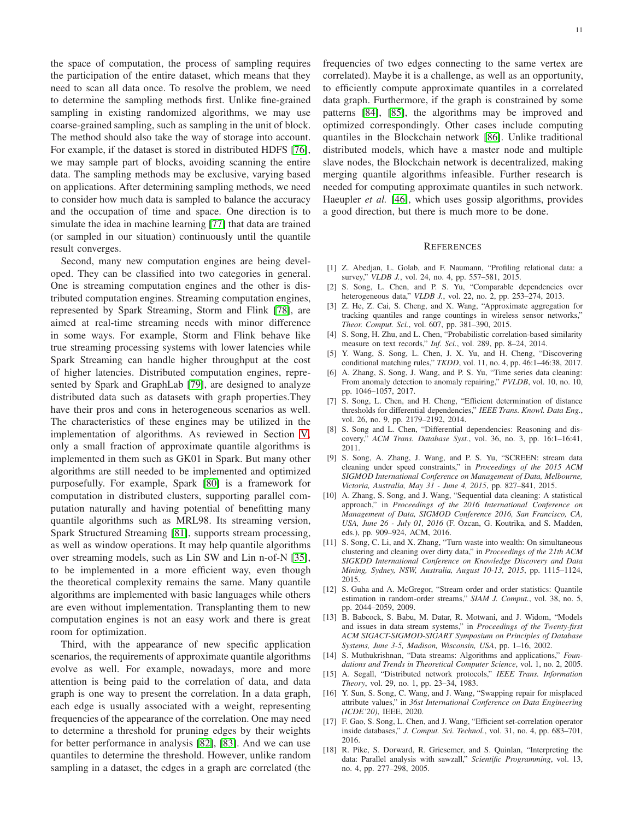the space of computation, the process of sampling requires the participation of the entire dataset, which means that they need to scan all data once. To resolve the problem, we need to determine the sampling methods first. Unlike fine-grained sampling in existing randomized algorithms, we may use coarse-grained sampling, such as sampling in the unit of block. The method should also take the way of storage into account. For example, if the dataset is stored in distributed HDFS [\[76\]](#page-12-2), we may sample part of blocks, avoiding scanning the entire data. The sampling methods may be exclusive, varying based on applications. After determining sampling methods, we need to consider how much data is sampled to balance the accuracy and the occupation of time and space. One direction is to simulate the idea in machine learning [77] that data are trained (or sampled in our situation) continuously until the quantile result converges.

Second, many new computation engines are being developed. They can be classified into two categories in general. One is streaming computation engines and the other is distributed computation engines. Streaming computation engines, represented by Spark Streaming, Storm and Flink [78], are aimed at real-time streaming needs with minor difference in some ways. For example, Storm and Flink behave like true streaming processing systems with lower latencies while Spark Streaming can handle higher throughput at the cost of higher latencies. Distributed computation engines, represented by Spark and GraphLab [79], are designed to analyze distributed data such as datasets with graph properties.They have their pros and cons in heterogeneous scenarios as well. The characteristics of these engines may be utilized in the implementation of algorithms. As reviewed in Section [V,](#page-9-0) only a small fraction of approximate quantile algorithms is implemented in them such as GK01 in Spark. But many other algorithms are still needed to be implemented and optimized purposefully. For example, Spark [80] is a framework for computation in distributed clusters, supporting parallel computation naturally and having potential of benefitting many quantile algorithms such as MRL98. Its streaming version, Spark Structured Streaming [81], supports stream processing, as well as window operations. It may help quantile algorithms over streaming models, such as Lin SW and Lin n-of-N [35], to be implemented in a more efficient way, even though the theoretical complexity remains the same. Many quantile algorithms are implemented with basic languages while others are even without implementation. Transplanting them to new computation engines is not an easy work and there is great room for optimization.

Third, with the appearance of new specific application scenarios, the requirements of approximate quantile algorithms evolve as well. For example, nowadays, more and more attention is being paid to the correlation of data, and data graph is one way to present the correlation. In a data graph, each edge is usually associated with a weight, representing frequencies of the appearance of the correlation. One may need to determine a threshold for pruning edges by their weights for better performance in analysis [82], [83]. And we can use quantiles to determine the threshold. However, unlike random sampling in a dataset, the edges in a graph are correlated (the

frequencies of two edges connecting to the same vertex are correlated). Maybe it is a challenge, as well as an opportunity, to efficiently compute approximate quantiles in a correlated data graph. Furthermore, if the graph is constrained by some patterns [84], [85], the algorithms may be improved and optimized correspondingly. Other cases include computing quantiles in the Blockchain network [86]. Unlike traditional distributed models, which have a master node and multiple slave nodes, the Blockchain network is decentralized, making merging quantile algorithms infeasible. Further research is needed for computing approximate quantiles in such network. Haeupler *et al.* [46], which uses gossip algorithms, provides a good direction, but there is much more to be done.

#### **REFERENCES**

- [1] Z. Abedjan, L. Golab, and F. Naumann, "Profiling relational data: a survey," *VLDB J.*, vol. 24, no. 4, pp. 557–581, 2015.
- [2] S. Song, L. Chen, and P. S. Yu, "Comparable dependencies over heterogeneous data," *VLDB J.*, vol. 22, no. 2, pp. 253–274, 2013.
- [3] Z. He, Z. Cai, S. Cheng, and X. Wang, "Approximate aggregation for tracking quantiles and range countings in wireless sensor networks," *Theor. Comput. Sci.*, vol. 607, pp. 381–390, 2015.
- [4] S. Song, H. Zhu, and L. Chen, "Probabilistic correlation-based similarity measure on text records," *Inf. Sci.*, vol. 289, pp. 8–24, 2014.
- [5] Y. Wang, S. Song, L. Chen, J. X. Yu, and H. Cheng, "Discovering conditional matching rules," *TKDD*, vol. 11, no. 4, pp. 46:1–46:38, 2017.
- [6] A. Zhang, S. Song, J. Wang, and P. S. Yu, "Time series data cleaning: From anomaly detection to anomaly repairing," *PVLDB*, vol. 10, no. 10, pp. 1046–1057, 2017.
- [7] S. Song, L. Chen, and H. Cheng, "Efficient determination of distance thresholds for differential dependencies," *IEEE Trans. Knowl. Data Eng.*, vol. 26, no. 9, pp. 2179–2192, 2014.
- [8] S. Song and L. Chen, "Differential dependencies: Reasoning and discovery," *ACM Trans. Database Syst.*, vol. 36, no. 3, pp. 16:1–16:41, 2011.
- [9] S. Song, A. Zhang, J. Wang, and P. S. Yu, "SCREEN: stream data cleaning under speed constraints," in *Proceedings of the 2015 ACM SIGMOD International Conference on Management of Data, Melbourne, Victoria, Australia, May 31 - June 4, 2015*, pp. 827–841, 2015.
- [10] A. Zhang, S. Song, and J. Wang, "Sequential data cleaning: A statistical approach," in *Proceedings of the 2016 International Conference on Management of Data, SIGMOD Conference 2016, San Francisco, CA, USA, June 26 - July 01, 2016* (F. Özcan, G. Koutrika, and S. Madden, eds.), pp. 909–924, ACM, 2016.
- [11] S. Song, C. Li, and X. Zhang, "Turn waste into wealth: On simultaneous clustering and cleaning over dirty data," in *Proceedings of the 21th ACM SIGKDD International Conference on Knowledge Discovery and Data Mining, Sydney, NSW, Australia, August 10-13, 2015*, pp. 1115–1124, 2015.
- [12] S. Guha and A. McGregor, "Stream order and order statistics: Quantile estimation in random-order streams," *SIAM J. Comput.*, vol. 38, no. 5, pp. 2044–2059, 2009.
- [13] B. Babcock, S. Babu, M. Datar, R. Motwani, and J. Widom, "Models and issues in data stream systems," in *Proceedings of the Twenty-first ACM SIGACT-SIGMOD-SIGART Symposium on Principles of Database Systems, June 3-5, Madison, Wisconsin, USA*, pp. 1–16, 2002.
- [14] S. Muthukrishnan, "Data streams: Algorithms and applications," *Foundations and Trends in Theoretical Computer Science*, vol. 1, no. 2, 2005.
- [15] A. Segall, "Distributed network protocols," *IEEE Trans. Information Theory*, vol. 29, no. 1, pp. 23–34, 1983.
- <span id="page-10-0"></span>[16] Y. Sun, S. Song, C. Wang, and J. Wang, "Swapping repair for misplaced attribute values," in *36st International Conference on Data Engineering (ICDE'20)*, IEEE, 2020.
- [17] F. Gao, S. Song, L. Chen, and J. Wang, "Efficient set-correlation operator inside databases," *J. Comput. Sci. Technol.*, vol. 31, no. 4, pp. 683–701, 2016.
- [18] R. Pike, S. Dorward, R. Griesemer, and S. Quinlan, "Interpreting the data: Parallel analysis with sawzall," *Scientific Programming*, vol. 13, no. 4, pp. 277–298, 2005.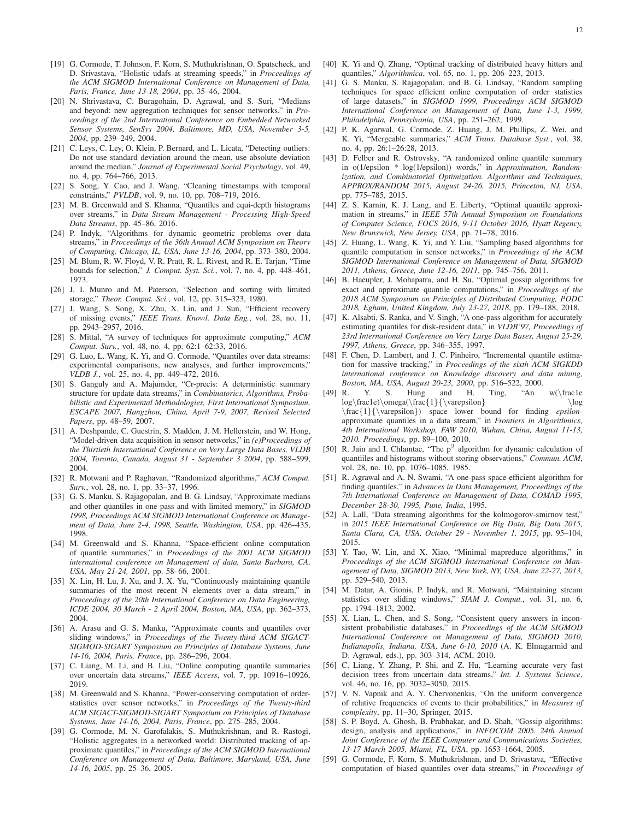- [19] G. Cormode, T. Johnson, F. Korn, S. Muthukrishnan, O. Spatscheck, and D. Srivastava, "Holistic udafs at streaming speeds," in *Proceedings of the ACM SIGMOD International Conference on Management of Data, Paris, France, June 13-18, 2004*, pp. 35–46, 2004.
- [20] N. Shrivastava, C. Buragohain, D. Agrawal, and S. Suri, "Medians and beyond: new aggregation techniques for sensor networks," in *Proceedings of the 2nd International Conference on Embedded Networked Sensor Systems, SenSys 2004, Baltimore, MD, USA, November 3-5, 2004*, pp. 239–249, 2004.
- <span id="page-11-0"></span>[21] C. Leys, C. Ley, O. Klein, P. Bernard, and L. Licata, "Detecting outliers: Do not use standard deviation around the mean, use absolute deviation around the median," *Journal of Experimental Social Psychology*, vol. 49, no. 4, pp. 764–766, 2013.
- [22] S. Song, Y. Cao, and J. Wang, "Cleaning timestamps with temporal constraints," *PVLDB*, vol. 9, no. 10, pp. 708–719, 2016.
- [23] M. B. Greenwald and S. Khanna, "Quantiles and equi-depth histograms over streams," in *Data Stream Management - Processing High-Speed Data Streams*, pp. 45–86, 2016.
- [24] P. Indyk, "Algorithms for dynamic geometric problems over data streams," in *Proceedings of the 36th Annual ACM Symposium on Theory of Computing, Chicago, IL, USA, June 13-16, 2004*, pp. 373–380, 2004.
- [25] M. Blum, R. W. Floyd, V. R. Pratt, R. L. Rivest, and R. E. Tarjan, "Time bounds for selection," *J. Comput. Syst. Sci.*, vol. 7, no. 4, pp. 448–461, 1973.
- [26] J. I. Munro and M. Paterson, "Selection and sorting with limited storage," *Theor. Comput. Sci.*, vol. 12, pp. 315–323, 1980.
- [27] J. Wang, S. Song, X. Zhu, X. Lin, and J. Sun, "Efficient recovery of missing events," *IEEE Trans. Knowl. Data Eng.*, vol. 28, no. 11, pp. 2943–2957, 2016.
- [28] S. Mittal, "A survey of techniques for approximate computing," *ACM Comput. Surv.*, vol. 48, no. 4, pp. 62:1–62:33, 2016.
- [29] G. Luo, L. Wang, K. Yi, and G. Cormode, "Quantiles over data streams: experimental comparisons, new analyses, and further improvements,' *VLDB J.*, vol. 25, no. 4, pp. 449–472, 2016.
- [30] S. Ganguly and A. Majumder, "Cr-precis: A deterministic summary structure for update data streams," in *Combinatorics, Algorithms, Probabilistic and Experimental Methodologies, First International Symposium, ESCAPE 2007, Hangzhou, China, April 7-9, 2007, Revised Selected Papers*, pp. 48–59, 2007.
- [31] A. Deshpande, C. Guestrin, S. Madden, J. M. Hellerstein, and W. Hong, "Model-driven data acquisition in sensor networks," in *(e)Proceedings of the Thirtieth International Conference on Very Large Data Bases, VLDB 2004, Toronto, Canada, August 31 - September 3 2004*, pp. 588–599, 2004.
- [32] R. Motwani and P. Raghavan, "Randomized algorithms," *ACM Comput. Surv.*, vol. 28, no. 1, pp. 33–37, 1996.
- [33] G. S. Manku, S. Rajagopalan, and B. G. Lindsay, "Approximate medians and other quantiles in one pass and with limited memory," in *SIGMOD 1998, Proceedings ACM SIGMOD International Conference on Management of Data, June 2-4, 1998, Seattle, Washington, USA*, pp. 426–435, 1998.
- [34] M. Greenwald and S. Khanna, "Space-efficient online computation of quantile summaries," in *Proceedings of the 2001 ACM SIGMOD international conference on Management of data, Santa Barbara, CA, USA, May 21-24, 2001*, pp. 58–66, 2001.
- [35] X. Lin, H. Lu, J. Xu, and J. X. Yu, "Continuously maintaining quantile summaries of the most recent N elements over a data stream," in *Proceedings of the 20th International Conference on Data Engineering, ICDE 2004, 30 March - 2 April 2004, Boston, MA, USA*, pp. 362–373, 2004.
- [36] A. Arasu and G. S. Manku, "Approximate counts and quantiles over sliding windows," in *Proceedings of the Twenty-third ACM SIGACT-SIGMOD-SIGART Symposium on Principles of Database Systems, June 14-16, 2004, Paris, France*, pp. 286–296, 2004.
- [37] C. Liang, M. Li, and B. Liu, "Online computing quantile summaries over uncertain data streams," *IEEE Access*, vol. 7, pp. 10916–10926, 2019.
- [38] M. Greenwald and S. Khanna, "Power-conserving computation of orderstatistics over sensor networks," in *Proceedings of the Twenty-third ACM SIGACT-SIGMOD-SIGART Symposium on Principles of Database Systems, June 14-16, 2004, Paris, France*, pp. 275–285, 2004.
- [39] G. Cormode, M. N. Garofalakis, S. Muthukrishnan, and R. Rastogi, "Holistic aggregates in a networked world: Distributed tracking of approximate quantiles," in *Proceedings of the ACM SIGMOD International Conference on Management of Data, Baltimore, Maryland, USA, June 14-16, 2005*, pp. 25–36, 2005.
- [40] K. Yi and Q. Zhang, "Optimal tracking of distributed heavy hitters and quantiles," *Algorithmica*, vol. 65, no. 1, pp. 206–223, 2013.
- [41] G. S. Manku, S. Rajagopalan, and B. G. Lindsay, "Random sampling techniques for space efficient online computation of order statistics of large datasets," in *SIGMOD 1999, Proceedings ACM SIGMOD International Conference on Management of Data, June 1-3, 1999, Philadelphia, Pennsylvania, USA*, pp. 251–262, 1999.
- [42] P. K. Agarwal, G. Cormode, Z. Huang, J. M. Phillips, Z. Wei, and K. Yi, "Mergeable summaries," *ACM Trans. Database Syst.*, vol. 38, no. 4, pp. 26:1–26:28, 2013.
- [43] D. Felber and R. Ostrovsky, "A randomized online quantile summary in o(1/epsilon \* log(1/epsilon)) words," in *Approximation, Randomization, and Combinatorial Optimization. Algorithms and Techniques, APPROX/RANDOM 2015, August 24-26, 2015, Princeton, NJ, USA*, pp. 775–785, 2015.
- [44] Z. S. Karnin, K. J. Lang, and E. Liberty, "Optimal quantile approximation in streams," in *IEEE 57th Annual Symposium on Foundations of Computer Science, FOCS 2016, 9-11 October 2016, Hyatt Regency, New Brunswick, New Jersey, USA*, pp. 71–78, 2016.
- [45] Z. Huang, L. Wang, K. Yi, and Y. Liu, "Sampling based algorithms for quantile computation in sensor networks," in *Proceedings of the ACM SIGMOD International Conference on Management of Data, SIGMOD 2011, Athens, Greece, June 12-16, 2011*, pp. 745–756, 2011.
- [46] B. Haeupler, J. Mohapatra, and H. Su, "Optimal gossip algorithms for exact and approximate quantile computations," in *Proceedings of the 2018 ACM Symposium on Principles of Distributed Computing, PODC 2018, Egham, United Kingdom, July 23-27, 2018*, pp. 179–188, 2018.
- [47] K. Alsabti, S. Ranka, and V. Singh, "A one-pass algorithm for accurately estimating quantiles for disk-resident data," in *VLDB'97, Proceedings of 23rd International Conference on Very Large Data Bases, August 25-29, 1997, Athens, Greece*, pp. 346–355, 1997.
- [48] F. Chen, D. Lambert, and J. C. Pinheiro, "Incremental quantile estimation for massive tracking," in *Proceedings of the sixth ACM SIGKDD international conference on Knowledge discovery and data mining, Boston, MA, USA, August 20-23, 2000*, pp. 516–522, 2000.
- [49] R. Y. S. Hung and H. Ting, "An w(\frac1e log\frac1e)\omega(\frac{1}{\varepsilon} \log \frac{1}{\varepsilon}) space lower bound for finding *epsilon*approximate quantiles in a data stream," in *Frontiers in Algorithmics, 4th International Workshop, FAW 2010, Wuhan, China, August 11-13, 2010. Proceedings*, pp. 89–100, 2010.
- [50] R. Jain and I. Chlamtac, "The  $p^2$  algorithm for dynamic calculation of quantiiles and histograms without storing observations," *Commun. ACM*, vol. 28, no. 10, pp. 1076–1085, 1985.
- [51] R. Agrawal and A. N. Swami, "A one-pass space-efficient algorithm for finding quantiles," in *Advances in Data Management, Proceedings of the 7th International Conference on Management of Data, COMAD 1995, December 28-30, 1995, Pune, India*, 1995.
- [52] A. Lall, "Data streaming algorithms for the kolmogorov-smirnov test," in *2015 IEEE International Conference on Big Data, Big Data 2015, Santa Clara, CA, USA, October 29 - November 1, 2015*, pp. 95–104, 2015.
- [53] Y. Tao, W. Lin, and X. Xiao, "Minimal mapreduce algorithms," in *Proceedings of the ACM SIGMOD International Conference on Management of Data, SIGMOD 2013, New York, NY, USA, June 22-27, 2013*, pp. 529–540, 2013.
- [54] M. Datar, A. Gionis, P. Indyk, and R. Motwani, "Maintaining stream statistics over sliding windows," *SIAM J. Comput.*, vol. 31, no. 6, pp. 1794–1813, 2002.
- [55] X. Lian, L. Chen, and S. Song, "Consistent query answers in inconsistent probabilistic databases," in *Proceedings of the ACM SIGMOD International Conference on Management of Data, SIGMOD 2010, Indianapolis, Indiana, USA, June 6-10, 2010* (A. K. Elmagarmid and D. Agrawal, eds.), pp. 303–314, ACM, 2010.
- [56] C. Liang, Y. Zhang, P. Shi, and Z. Hu, "Learning accurate very fast decision trees from uncertain data streams," *Int. J. Systems Science*, vol. 46, no. 16, pp. 3032–3050, 2015.
- <span id="page-11-1"></span>[57] V. N. Vapnik and A. Y. Chervonenkis, "On the uniform convergence of relative frequencies of events to their probabilities," in *Measures of complexity*, pp. 11–30, Springer, 2015.
- [58] S. P. Boyd, A. Ghosh, B. Prabhakar, and D. Shah, "Gossip algorithms: design, analysis and applications," in *INFOCOM 2005. 24th Annual Joint Conference of the IEEE Computer and Communications Societies, 13-17 March 2005, Miami, FL, USA*, pp. 1653–1664, 2005.
- [59] G. Cormode, F. Korn, S. Muthukrishnan, and D. Srivastava, "Effective computation of biased quantiles over data streams," in *Proceedings of*